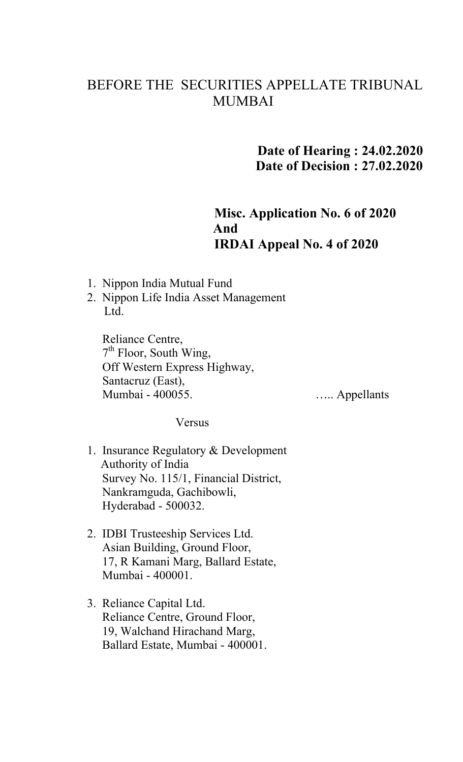## BEFORE THE SECURITIES APPELLATE TRIBUNAL MUMBAI

## **Date of Hearing : 24.02.2020 Date of Decision : 27.02.2020**

## **Misc. Application No. 6 of 2020 And IRDAI Appeal No. 4 of 2020**

- 1. Nippon India Mutual Fund
- 2. Nippon Life India Asset Management Ltd.

 Reliance Centre, 7<sup>th</sup> Floor, South Wing, Off Western Express Highway, Santacruz (East), Mumbai - 400055.

….. Appellants

Versus

- 1. Insurance Regulatory & Development Authority of India Survey No. 115/1, Financial District, Nankramguda, Gachibowli, Hyderabad - 500032.
- 2. IDBI Trusteeship Services Ltd. Asian Building, Ground Floor, 17, R Kamani Marg, Ballard Estate, Mumbai - 400001.
- 3. Reliance Capital Ltd. Reliance Centre, Ground Floor, 19, Walchand Hirachand Marg, Ballard Estate, Mumbai - 400001.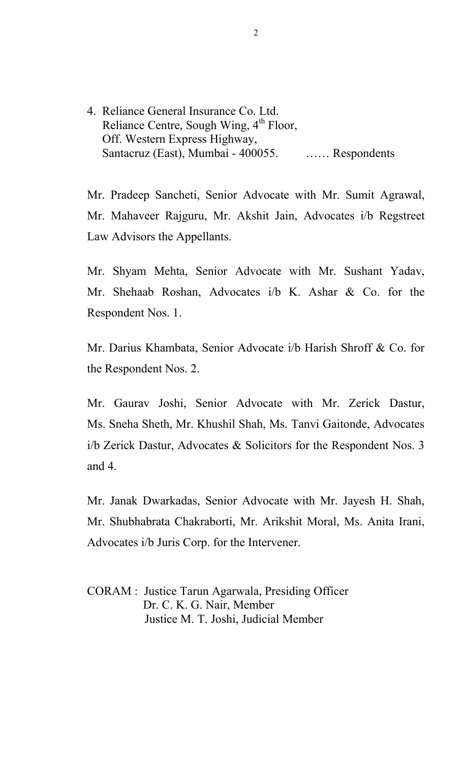4. Reliance General Insurance Co. Ltd. Reliance Centre, Sough Wing, 4<sup>th</sup> Floor, Off. Western Express Highway, Santacruz (East), Mumbai - 400055. …… Respondents

Mr. Pradeep Sancheti, Senior Advocate with Mr. Sumit Agrawal, Mr. Mahaveer Rajguru, Mr. Akshit Jain, Advocates i/b Regstreet Law Advisors the Appellants.

Mr. Shyam Mehta, Senior Advocate with Mr. Sushant Yadav, Mr. Shehaab Roshan, Advocates i/b K. Ashar & Co. for the Respondent Nos. 1.

Mr. Darius Khambata, Senior Advocate i/b Harish Shroff & Co. for the Respondent Nos. 2.

Mr. Gaurav Joshi, Senior Advocate with Mr. Zerick Dastur, Ms. Sneha Sheth, Mr. Khushil Shah, Ms. Tanvi Gaitonde, Advocates i/b Zerick Dastur, Advocates & Solicitors for the Respondent Nos. 3 and 4.

Mr. Janak Dwarkadas, Senior Advocate with Mr. Jayesh H. Shah, Mr. Shubhabrata Chakraborti, Mr. Arikshit Moral, Ms. Anita Irani, Advocates i/b Juris Corp. for the Intervener.

CORAM : Justice Tarun Agarwala, Presiding Officer Dr. C. K. G. Nair, Member Justice M. T. Joshi, Judicial Member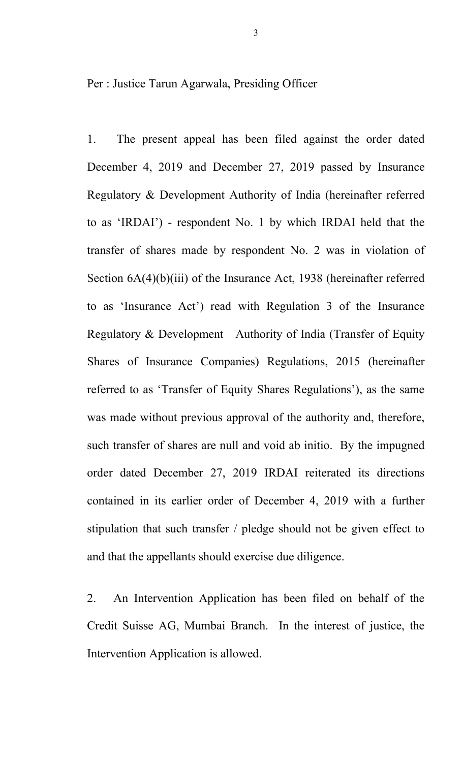Per : Justice Tarun Agarwala, Presiding Officer

1. The present appeal has been filed against the order dated December 4, 2019 and December 27, 2019 passed by Insurance Regulatory & Development Authority of India (hereinafter referred to as 'IRDAI') - respondent No. 1 by which IRDAI held that the transfer of shares made by respondent No. 2 was in violation of Section  $6A(4)(b)(iii)$  of the Insurance Act, 1938 (hereinafter referred to as 'Insurance Act') read with Regulation 3 of the Insurance Regulatory & Development Authority of India (Transfer of Equity Shares of Insurance Companies) Regulations, 2015 (hereinafter referred to as 'Transfer of Equity Shares Regulations'), as the same was made without previous approval of the authority and, therefore, such transfer of shares are null and void ab initio. By the impugned order dated December 27, 2019 IRDAI reiterated its directions contained in its earlier order of December 4, 2019 with a further stipulation that such transfer / pledge should not be given effect to and that the appellants should exercise due diligence.

2. An Intervention Application has been filed on behalf of the Credit Suisse AG, Mumbai Branch. In the interest of justice, the Intervention Application is allowed.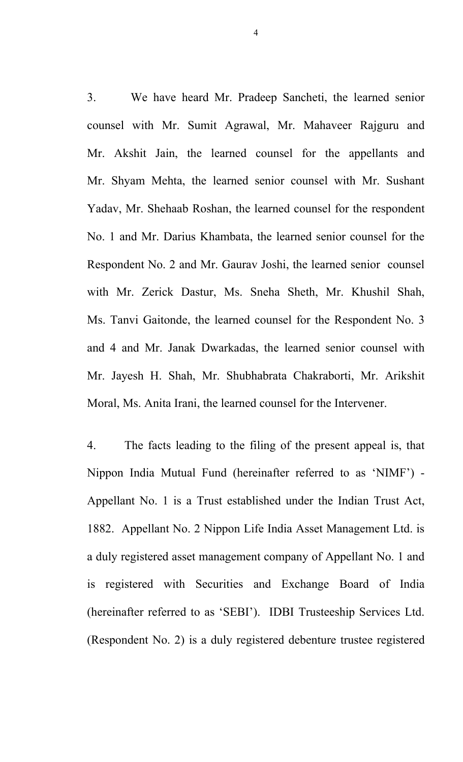3. We have heard Mr. Pradeep Sancheti, the learned senior counsel with Mr. Sumit Agrawal, Mr. Mahaveer Rajguru and Mr. Akshit Jain, the learned counsel for the appellants and Mr. Shyam Mehta, the learned senior counsel with Mr. Sushant Yadav, Mr. Shehaab Roshan, the learned counsel for the respondent No. 1 and Mr. Darius Khambata, the learned senior counsel for the Respondent No. 2 and Mr. Gaurav Joshi, the learned senior counsel with Mr. Zerick Dastur, Ms. Sneha Sheth, Mr. Khushil Shah, Ms. Tanvi Gaitonde, the learned counsel for the Respondent No. 3 and 4 and Mr. Janak Dwarkadas, the learned senior counsel with Mr. Jayesh H. Shah, Mr. Shubhabrata Chakraborti, Mr. Arikshit Moral, Ms. Anita Irani, the learned counsel for the Intervener.

4. The facts leading to the filing of the present appeal is, that Nippon India Mutual Fund (hereinafter referred to as 'NIMF') - Appellant No. 1 is a Trust established under the Indian Trust Act, 1882. Appellant No. 2 Nippon Life India Asset Management Ltd. is a duly registered asset management company of Appellant No. 1 and is registered with Securities and Exchange Board of India (hereinafter referred to as 'SEBI'). IDBI Trusteeship Services Ltd. (Respondent No. 2) is a duly registered debenture trustee registered

4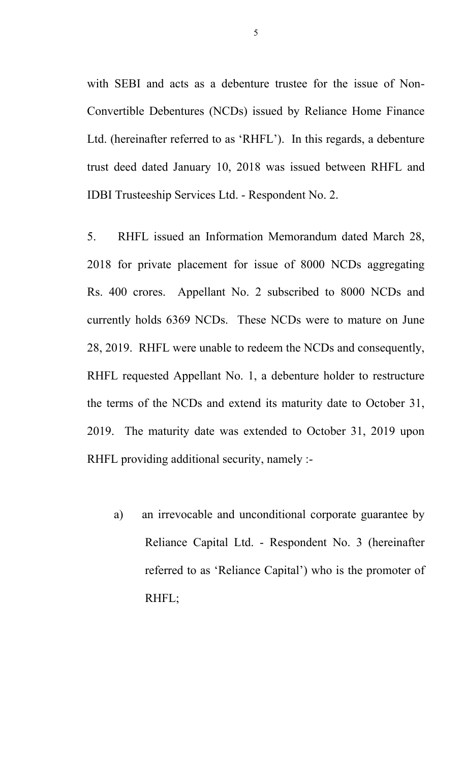with SEBI and acts as a debenture trustee for the issue of Non-Convertible Debentures (NCDs) issued by Reliance Home Finance Ltd. (hereinafter referred to as 'RHFL'). In this regards, a debenture trust deed dated January 10, 2018 was issued between RHFL and IDBI Trusteeship Services Ltd. - Respondent No. 2.

5. RHFL issued an Information Memorandum dated March 28, 2018 for private placement for issue of 8000 NCDs aggregating Rs. 400 crores. Appellant No. 2 subscribed to 8000 NCDs and currently holds 6369 NCDs. These NCDs were to mature on June 28, 2019. RHFL were unable to redeem the NCDs and consequently, RHFL requested Appellant No. 1, a debenture holder to restructure the terms of the NCDs and extend its maturity date to October 31, 2019. The maturity date was extended to October 31, 2019 upon RHFL providing additional security, namely :-

a) an irrevocable and unconditional corporate guarantee by Reliance Capital Ltd. - Respondent No. 3 (hereinafter referred to as 'Reliance Capital') who is the promoter of RHFL;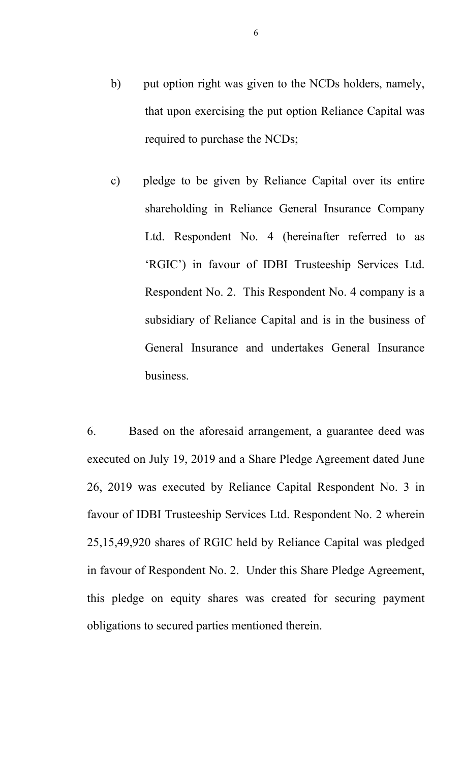- b) put option right was given to the NCDs holders, namely, that upon exercising the put option Reliance Capital was required to purchase the NCDs;
- c) pledge to be given by Reliance Capital over its entire shareholding in Reliance General Insurance Company Ltd. Respondent No. 4 (hereinafter referred to as 'RGIC') in favour of IDBI Trusteeship Services Ltd. Respondent No. 2. This Respondent No. 4 company is a subsidiary of Reliance Capital and is in the business of General Insurance and undertakes General Insurance business.

6. Based on the aforesaid arrangement, a guarantee deed was executed on July 19, 2019 and a Share Pledge Agreement dated June 26, 2019 was executed by Reliance Capital Respondent No. 3 in favour of IDBI Trusteeship Services Ltd. Respondent No. 2 wherein 25,15,49,920 shares of RGIC held by Reliance Capital was pledged in favour of Respondent No. 2. Under this Share Pledge Agreement, this pledge on equity shares was created for securing payment obligations to secured parties mentioned therein.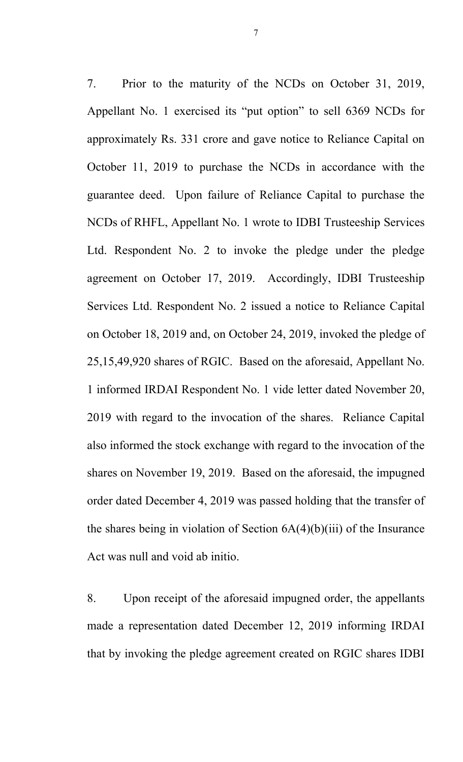7. Prior to the maturity of the NCDs on October 31, 2019, Appellant No. 1 exercised its "put option" to sell 6369 NCDs for approximately Rs. 331 crore and gave notice to Reliance Capital on October 11, 2019 to purchase the NCDs in accordance with the guarantee deed. Upon failure of Reliance Capital to purchase the NCDs of RHFL, Appellant No. 1 wrote to IDBI Trusteeship Services Ltd. Respondent No. 2 to invoke the pledge under the pledge agreement on October 17, 2019. Accordingly, IDBI Trusteeship Services Ltd. Respondent No. 2 issued a notice to Reliance Capital on October 18, 2019 and, on October 24, 2019, invoked the pledge of 25,15,49,920 shares of RGIC. Based on the aforesaid, Appellant No. 1 informed IRDAI Respondent No. 1 vide letter dated November 20, 2019 with regard to the invocation of the shares. Reliance Capital also informed the stock exchange with regard to the invocation of the shares on November 19, 2019. Based on the aforesaid, the impugned order dated December 4, 2019 was passed holding that the transfer of the shares being in violation of Section  $6A(4)(b)(iii)$  of the Insurance Act was null and void ab initio.

8. Upon receipt of the aforesaid impugned order, the appellants made a representation dated December 12, 2019 informing IRDAI that by invoking the pledge agreement created on RGIC shares IDBI

7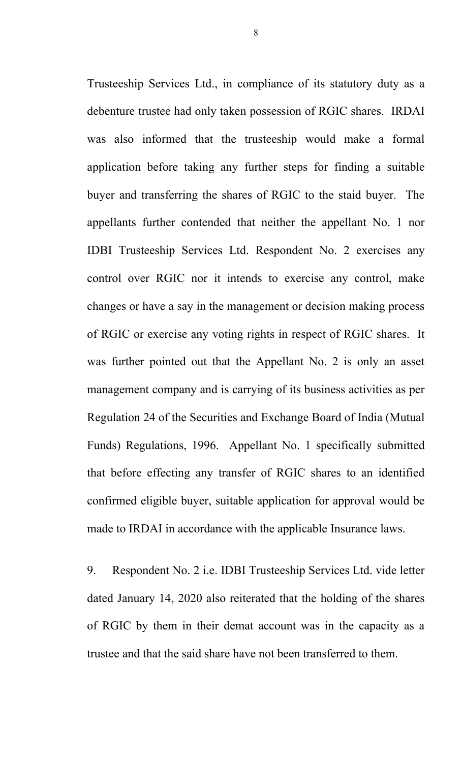Trusteeship Services Ltd., in compliance of its statutory duty as a debenture trustee had only taken possession of RGIC shares. IRDAI was also informed that the trusteeship would make a formal application before taking any further steps for finding a suitable buyer and transferring the shares of RGIC to the staid buyer. The appellants further contended that neither the appellant No. 1 nor IDBI Trusteeship Services Ltd. Respondent No. 2 exercises any control over RGIC nor it intends to exercise any control, make changes or have a say in the management or decision making process of RGIC or exercise any voting rights in respect of RGIC shares. It was further pointed out that the Appellant No. 2 is only an asset management company and is carrying of its business activities as per Regulation 24 of the Securities and Exchange Board of India (Mutual Funds) Regulations, 1996. Appellant No. 1 specifically submitted that before effecting any transfer of RGIC shares to an identified confirmed eligible buyer, suitable application for approval would be made to IRDAI in accordance with the applicable Insurance laws.

9. Respondent No. 2 i.e. IDBI Trusteeship Services Ltd. vide letter dated January 14, 2020 also reiterated that the holding of the shares of RGIC by them in their demat account was in the capacity as a trustee and that the said share have not been transferred to them.

8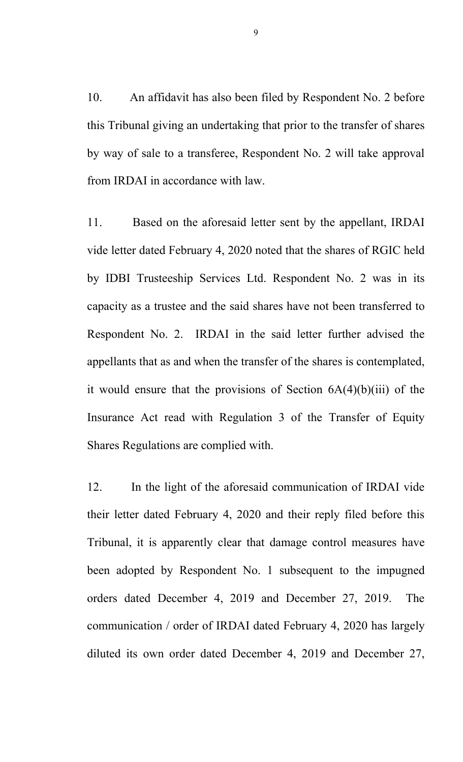10. An affidavit has also been filed by Respondent No. 2 before this Tribunal giving an undertaking that prior to the transfer of shares by way of sale to a transferee, Respondent No. 2 will take approval from IRDAI in accordance with law.

11. Based on the aforesaid letter sent by the appellant, IRDAI vide letter dated February 4, 2020 noted that the shares of RGIC held by IDBI Trusteeship Services Ltd. Respondent No. 2 was in its capacity as a trustee and the said shares have not been transferred to Respondent No. 2. IRDAI in the said letter further advised the appellants that as and when the transfer of the shares is contemplated, it would ensure that the provisions of Section  $6A(4)(b)(iii)$  of the Insurance Act read with Regulation 3 of the Transfer of Equity Shares Regulations are complied with.

12. In the light of the aforesaid communication of IRDAI vide their letter dated February 4, 2020 and their reply filed before this Tribunal, it is apparently clear that damage control measures have been adopted by Respondent No. 1 subsequent to the impugned orders dated December 4, 2019 and December 27, 2019. The communication / order of IRDAI dated February 4, 2020 has largely diluted its own order dated December 4, 2019 and December 27,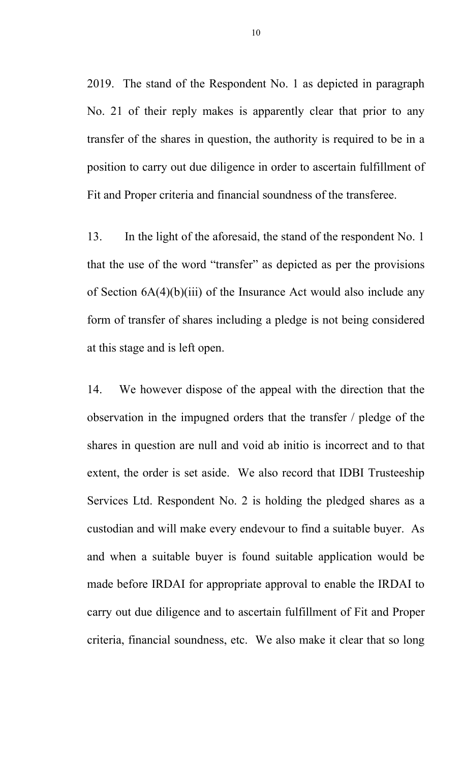2019. The stand of the Respondent No. 1 as depicted in paragraph No. 21 of their reply makes is apparently clear that prior to any transfer of the shares in question, the authority is required to be in a position to carry out due diligence in order to ascertain fulfillment of Fit and Proper criteria and financial soundness of the transferee.

13. In the light of the aforesaid, the stand of the respondent No. 1 that the use of the word "transfer" as depicted as per the provisions of Section 6A(4)(b)(iii) of the Insurance Act would also include any form of transfer of shares including a pledge is not being considered at this stage and is left open.

14. We however dispose of the appeal with the direction that the observation in the impugned orders that the transfer / pledge of the shares in question are null and void ab initio is incorrect and to that extent, the order is set aside. We also record that IDBI Trusteeship Services Ltd. Respondent No. 2 is holding the pledged shares as a custodian and will make every endevour to find a suitable buyer. As and when a suitable buyer is found suitable application would be made before IRDAI for appropriate approval to enable the IRDAI to carry out due diligence and to ascertain fulfillment of Fit and Proper criteria, financial soundness, etc. We also make it clear that so long